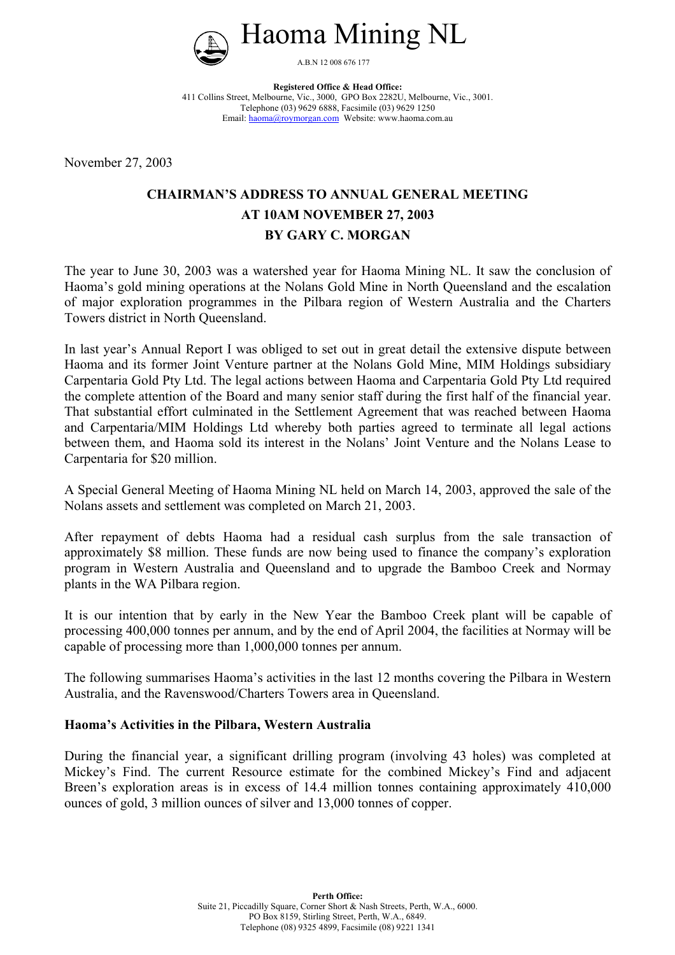

**Registered Office & Head Office:** 411 Collins Street, Melbourne, Vic., 3000, GPO Box 2282U, Melbourne, Vic., 3001. Telephone (03) 9629 6888, Facsimile (03) 9629 1250 Email: haoma@roymorgan.com Website: www.haoma.com.au

November 27, 2003

# **CHAIRMAN'S ADDRESS TO ANNUAL GENERAL MEETING AT 10AM NOVEMBER 27, 2003 BY GARY C. MORGAN**

The year to June 30, 2003 was a watershed year for Haoma Mining NL. It saw the conclusion of Haoma's gold mining operations at the Nolans Gold Mine in North Queensland and the escalation of major exploration programmes in the Pilbara region of Western Australia and the Charters Towers district in North Queensland.

In last year's Annual Report I was obliged to set out in great detail the extensive dispute between Haoma and its former Joint Venture partner at the Nolans Gold Mine, MIM Holdings subsidiary Carpentaria Gold Pty Ltd. The legal actions between Haoma and Carpentaria Gold Pty Ltd required the complete attention of the Board and many senior staff during the first half of the financial year. That substantial effort culminated in the Settlement Agreement that was reached between Haoma and Carpentaria/MIM Holdings Ltd whereby both parties agreed to terminate all legal actions between them, and Haoma sold its interest in the Nolans' Joint Venture and the Nolans Lease to Carpentaria for \$20 million.

A Special General Meeting of Haoma Mining NL held on March 14, 2003, approved the sale of the Nolans assets and settlement was completed on March 21, 2003.

After repayment of debts Haoma had a residual cash surplus from the sale transaction of approximately \$8 million. These funds are now being used to finance the company's exploration program in Western Australia and Queensland and to upgrade the Bamboo Creek and Normay plants in the WA Pilbara region.

It is our intention that by early in the New Year the Bamboo Creek plant will be capable of processing 400,000 tonnes per annum, and by the end of April 2004, the facilities at Normay will be capable of processing more than 1,000,000 tonnes per annum.

The following summarises Haoma's activities in the last 12 months covering the Pilbara in Western Australia, and the Ravenswood/Charters Towers area in Queensland.

#### **Haoma's Activities in the Pilbara, Western Australia**

During the financial year, a significant drilling program (involving 43 holes) was completed at Mickey's Find. The current Resource estimate for the combined Mickey's Find and adjacent Breen's exploration areas is in excess of 14.4 million tonnes containing approximately 410,000 ounces of gold, 3 million ounces of silver and 13,000 tonnes of copper.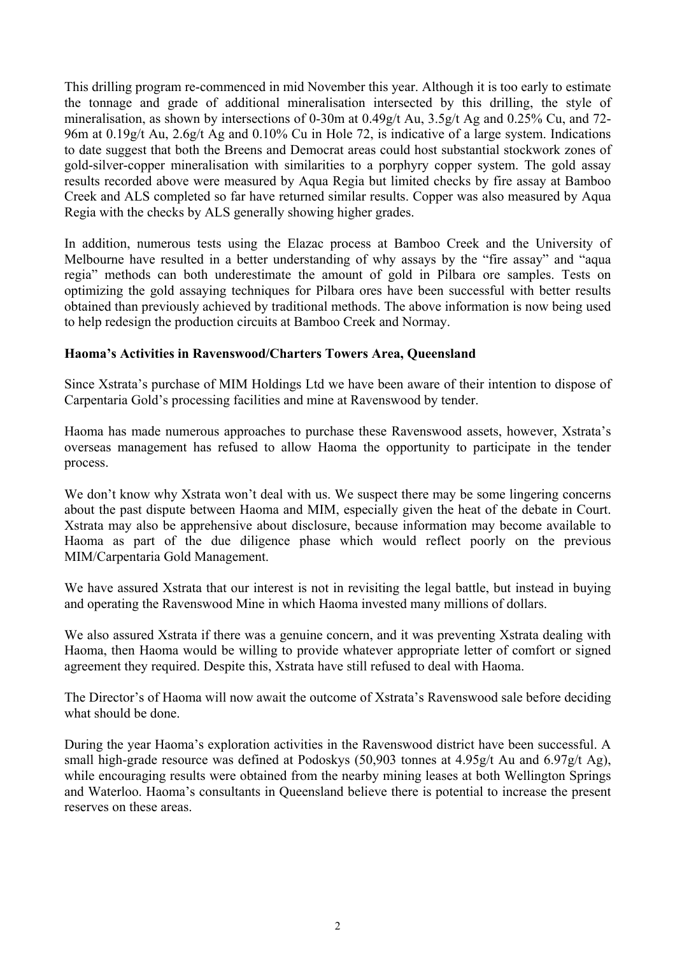This drilling program re-commenced in mid November this year. Although it is too early to estimate the tonnage and grade of additional mineralisation intersected by this drilling, the style of mineralisation, as shown by intersections of 0-30m at 0.49g/t Au, 3.5g/t Ag and 0.25% Cu, and 72- 96m at 0.19g/t Au, 2.6g/t Ag and 0.10% Cu in Hole 72, is indicative of a large system. Indications to date suggest that both the Breens and Democrat areas could host substantial stockwork zones of gold-silver-copper mineralisation with similarities to a porphyry copper system. The gold assay results recorded above were measured by Aqua Regia but limited checks by fire assay at Bamboo Creek and ALS completed so far have returned similar results. Copper was also measured by Aqua Regia with the checks by ALS generally showing higher grades.

In addition, numerous tests using the Elazac process at Bamboo Creek and the University of Melbourne have resulted in a better understanding of why assays by the "fire assay" and "aqua regia" methods can both underestimate the amount of gold in Pilbara ore samples. Tests on optimizing the gold assaying techniques for Pilbara ores have been successful with better results obtained than previously achieved by traditional methods. The above information is now being used to help redesign the production circuits at Bamboo Creek and Normay.

# **Haoma's Activities in Ravenswood/Charters Towers Area, Queensland**

Since Xstrata's purchase of MIM Holdings Ltd we have been aware of their intention to dispose of Carpentaria Gold's processing facilities and mine at Ravenswood by tender.

Haoma has made numerous approaches to purchase these Ravenswood assets, however, Xstrata's overseas management has refused to allow Haoma the opportunity to participate in the tender process.

We don't know why Xstrata won't deal with us. We suspect there may be some lingering concerns about the past dispute between Haoma and MIM, especially given the heat of the debate in Court. Xstrata may also be apprehensive about disclosure, because information may become available to Haoma as part of the due diligence phase which would reflect poorly on the previous MIM/Carpentaria Gold Management.

We have assured Xstrata that our interest is not in revisiting the legal battle, but instead in buying and operating the Ravenswood Mine in which Haoma invested many millions of dollars.

We also assured Xstrata if there was a genuine concern, and it was preventing Xstrata dealing with Haoma, then Haoma would be willing to provide whatever appropriate letter of comfort or signed agreement they required. Despite this, Xstrata have still refused to deal with Haoma.

The Director's of Haoma will now await the outcome of Xstrata's Ravenswood sale before deciding what should be done.

During the year Haoma's exploration activities in the Ravenswood district have been successful. A small high-grade resource was defined at Podoskys (50,903 tonnes at 4.95g/t Au and 6.97g/t Ag), while encouraging results were obtained from the nearby mining leases at both Wellington Springs and Waterloo. Haoma's consultants in Queensland believe there is potential to increase the present reserves on these areas.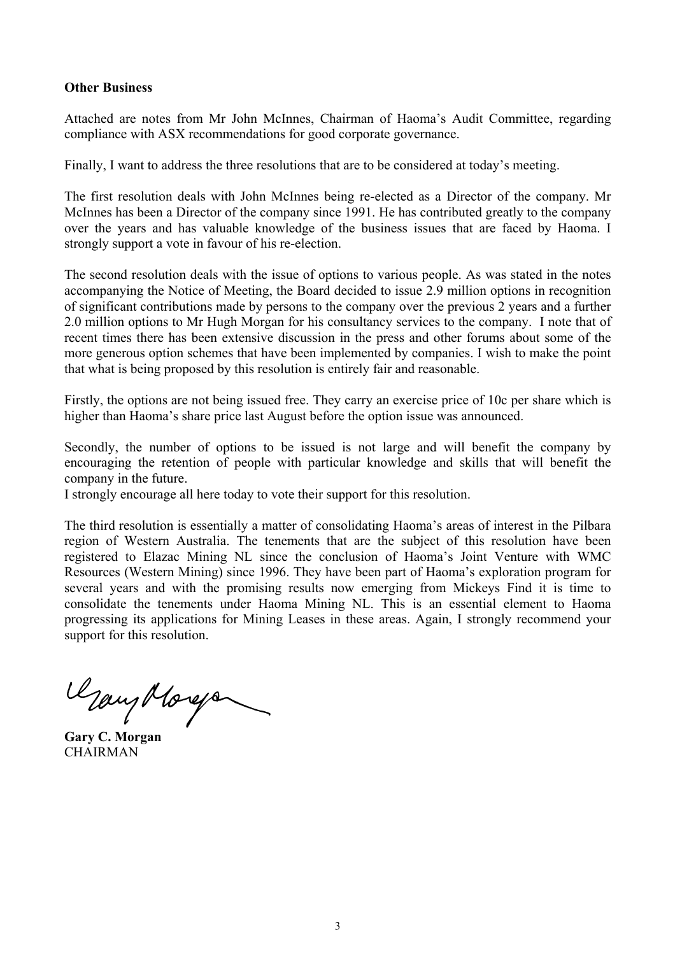#### **Other Business**

Attached are notes from Mr John McInnes, Chairman of Haoma's Audit Committee, regarding compliance with ASX recommendations for good corporate governance.

Finally, I want to address the three resolutions that are to be considered at today's meeting.

The first resolution deals with John McInnes being re-elected as a Director of the company. Mr McInnes has been a Director of the company since 1991. He has contributed greatly to the company over the years and has valuable knowledge of the business issues that are faced by Haoma. I strongly support a vote in favour of his re-election.

The second resolution deals with the issue of options to various people. As was stated in the notes accompanying the Notice of Meeting, the Board decided to issue 2.9 million options in recognition of significant contributions made by persons to the company over the previous 2 years and a further 2.0 million options to Mr Hugh Morgan for his consultancy services to the company. I note that of recent times there has been extensive discussion in the press and other forums about some of the more generous option schemes that have been implemented by companies. I wish to make the point that what is being proposed by this resolution is entirely fair and reasonable.

Firstly, the options are not being issued free. They carry an exercise price of 10c per share which is higher than Haoma's share price last August before the option issue was announced.

Secondly, the number of options to be issued is not large and will benefit the company by encouraging the retention of people with particular knowledge and skills that will benefit the company in the future.

I strongly encourage all here today to vote their support for this resolution.

The third resolution is essentially a matter of consolidating Haoma's areas of interest in the Pilbara region of Western Australia. The tenements that are the subject of this resolution have been registered to Elazac Mining NL since the conclusion of Haoma's Joint Venture with WMC Resources (Western Mining) since 1996. They have been part of Haoma's exploration program for several years and with the promising results now emerging from Mickeys Find it is time to consolidate the tenements under Haoma Mining NL. This is an essential element to Haoma progressing its applications for Mining Leases in these areas. Again, I strongly recommend your support for this resolution.

**Gary C. Morgan**

**CHAIRMAN**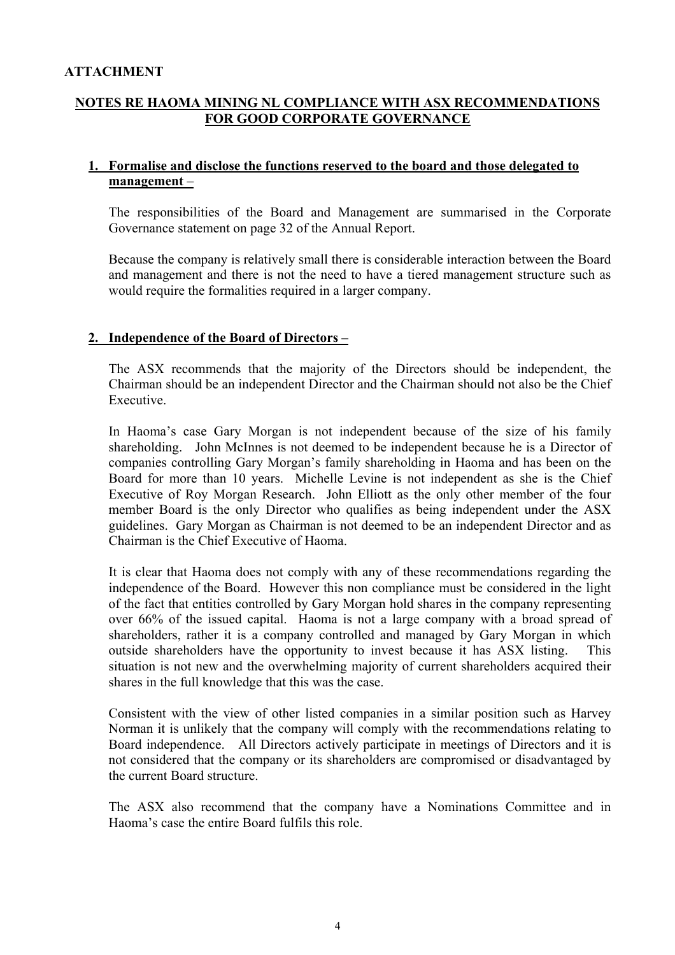#### **ATTACHMENT**

# **NOTES RE HAOMA MINING NL COMPLIANCE WITH ASX RECOMMENDATIONS FOR GOOD CORPORATE GOVERNANCE**

## **1. Formalise and disclose the functions reserved to the board and those delegated to management** –

The responsibilities of the Board and Management are summarised in the Corporate Governance statement on page 32 of the Annual Report.

Because the company is relatively small there is considerable interaction between the Board and management and there is not the need to have a tiered management structure such as would require the formalities required in a larger company.

#### **2. Independence of the Board of Directors –**

The ASX recommends that the majority of the Directors should be independent, the Chairman should be an independent Director and the Chairman should not also be the Chief Executive.

In Haoma's case Gary Morgan is not independent because of the size of his family shareholding. John McInnes is not deemed to be independent because he is a Director of companies controlling Gary Morgan's family shareholding in Haoma and has been on the Board for more than 10 years. Michelle Levine is not independent as she is the Chief Executive of Roy Morgan Research. John Elliott as the only other member of the four member Board is the only Director who qualifies as being independent under the ASX guidelines. Gary Morgan as Chairman is not deemed to be an independent Director and as Chairman is the Chief Executive of Haoma.

It is clear that Haoma does not comply with any of these recommendations regarding the independence of the Board. However this non compliance must be considered in the light of the fact that entities controlled by Gary Morgan hold shares in the company representing over 66% of the issued capital. Haoma is not a large company with a broad spread of shareholders, rather it is a company controlled and managed by Gary Morgan in which outside shareholders have the opportunity to invest because it has ASX listing. This situation is not new and the overwhelming majority of current shareholders acquired their shares in the full knowledge that this was the case.

Consistent with the view of other listed companies in a similar position such as Harvey Norman it is unlikely that the company will comply with the recommendations relating to Board independence. All Directors actively participate in meetings of Directors and it is not considered that the company or its shareholders are compromised or disadvantaged by the current Board structure.

The ASX also recommend that the company have a Nominations Committee and in Haoma's case the entire Board fulfils this role.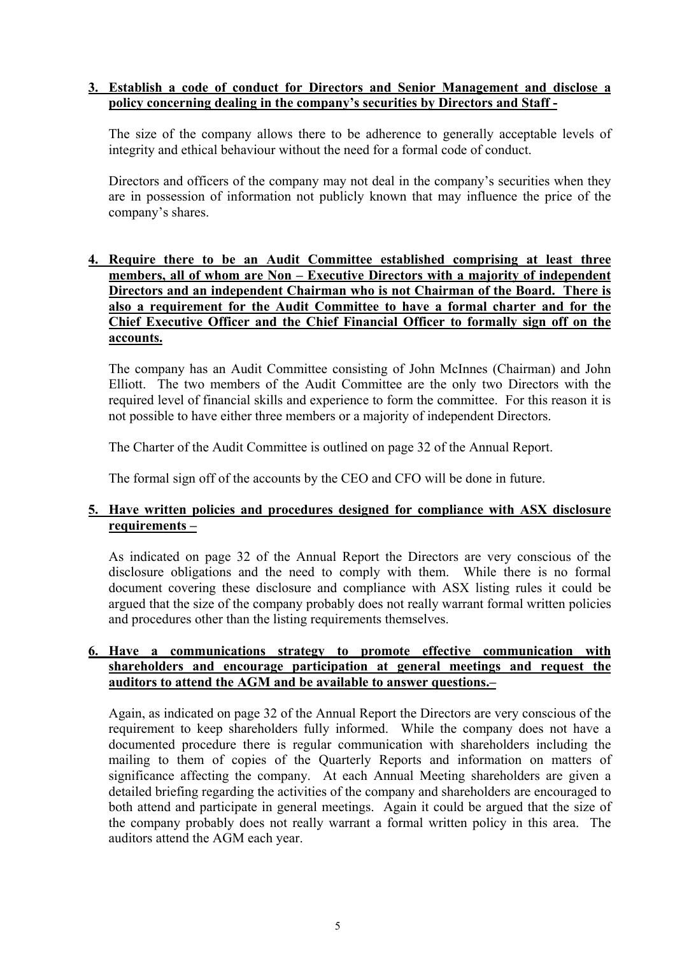## **3. Establish a code of conduct for Directors and Senior Management and disclose a policy concerning dealing in the company's securities by Directors and Staff -**

The size of the company allows there to be adherence to generally acceptable levels of integrity and ethical behaviour without the need for a formal code of conduct.

Directors and officers of the company may not deal in the company's securities when they are in possession of information not publicly known that may influence the price of the company's shares.

# **4. Require there to be an Audit Committee established comprising at least three members, all of whom are Non – Executive Directors with a majority of independent Directors and an independent Chairman who is not Chairman of the Board. There is also a requirement for the Audit Committee to have a formal charter and for the Chief Executive Officer and the Chief Financial Officer to formally sign off on the accounts.**

The company has an Audit Committee consisting of John McInnes (Chairman) and John Elliott. The two members of the Audit Committee are the only two Directors with the required level of financial skills and experience to form the committee. For this reason it is not possible to have either three members or a majority of independent Directors.

The Charter of the Audit Committee is outlined on page 32 of the Annual Report.

The formal sign off of the accounts by the CEO and CFO will be done in future.

# **5. Have written policies and procedures designed for compliance with ASX disclosure requirements –**

As indicated on page 32 of the Annual Report the Directors are very conscious of the disclosure obligations and the need to comply with them. While there is no formal document covering these disclosure and compliance with ASX listing rules it could be argued that the size of the company probably does not really warrant formal written policies and procedures other than the listing requirements themselves.

#### **6. Have a communications strategy to promote effective communication with shareholders and encourage participation at general meetings and request the auditors to attend the AGM and be available to answer questions.–**

Again, as indicated on page 32 of the Annual Report the Directors are very conscious of the requirement to keep shareholders fully informed. While the company does not have a documented procedure there is regular communication with shareholders including the mailing to them of copies of the Quarterly Reports and information on matters of significance affecting the company. At each Annual Meeting shareholders are given a detailed briefing regarding the activities of the company and shareholders are encouraged to both attend and participate in general meetings. Again it could be argued that the size of the company probably does not really warrant a formal written policy in this area. The auditors attend the AGM each year.